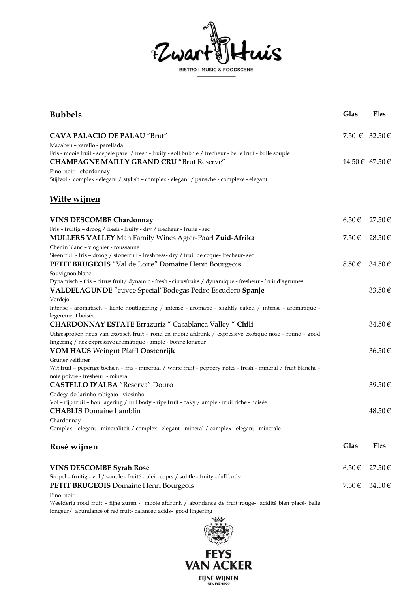

| <b>Bubbels</b>                                                                                                                                                          | <b>Glas</b>     | <b>Fles</b> |
|-------------------------------------------------------------------------------------------------------------------------------------------------------------------------|-----------------|-------------|
| <b>CAVA PALACIO DE PALAU "Brut"</b>                                                                                                                                     | 7.50 € 32.50 €  |             |
| Macabeu - xarello - parellada                                                                                                                                           |                 |             |
| Fris - mooie fruit - soepele parel / fresh - fruity - soft bubble / frecheur - belle fruit - bulle souple                                                               |                 |             |
| <b>CHAMPAGNE MAILLY GRAND CRU "Brut Reserve"</b>                                                                                                                        | 14.50 € 67.50 € |             |
| Pinot noir – chardonnay                                                                                                                                                 |                 |             |
| Stijlvol - complex - elegant / stylish - complex - elegant / panache - complexe - elegant                                                                               |                 |             |
| <u>Witte wijnen</u>                                                                                                                                                     |                 |             |
| <b>VINS DESCOMBE Chardonnay</b>                                                                                                                                         | $6.50 \in$      | 27.50€      |
| Fris - fruitig - droog / fresh - fruity - dry / frecheur - fruite - sec                                                                                                 |                 |             |
| <b>MULLERS VALLEY</b> Man Family Wines Agter-Paarl Zuid-Afrika                                                                                                          | 7.50 $\in$      | 28.50€      |
| Chenin blanc - viognier - roussanne                                                                                                                                     |                 |             |
| Steenfruit - fris - droog / stonefruit - freshness- dry / fruit de coque- frecheur- sec                                                                                 |                 |             |
| <b>PETIT BRUGEOIS</b> "Val de Loire" Domaine Henri Bourgeois                                                                                                            | 8.50€           | $34.50 \in$ |
| Sauvignon blanc                                                                                                                                                         |                 |             |
| Dynamisch - fris - citrus fruit/ dynamic - fresh - citrusfruits / dynamique - fresheur - fruit d'agrumes                                                                |                 |             |
| VALDELAGUNDE "cuvee Special"Bodegas Pedro Escudero Spanje                                                                                                               |                 | 33.50€      |
| Verdejo                                                                                                                                                                 |                 |             |
| Intense - aromatisch - lichte houtlagering / intense - aromatic - slightly oaked / intense - aromatique -                                                               |                 |             |
| legerement boisée                                                                                                                                                       |                 |             |
| <b>CHARDONNAY ESTATE</b> Errazuriz " Casablanca Valley " Chili                                                                                                          |                 | 34.50€      |
| Uitgesproken neus van exotisch fruit - rond en mooie afdronk / expressive exotique nose - round - good<br>lingering / nez expressive aromatique - ample - bonne longeur |                 |             |
| <b>VOM HAUS</b> Weingut Pfaffl Oostenrijk                                                                                                                               |                 | 36.50€      |
| Gruner veltliner                                                                                                                                                        |                 |             |
| Wit fruit - peperige toetsen - fris - mineraal / white fruit - peppery notes - fresh - mineral / fruit blanche -                                                        |                 |             |
| note poivre - fresheur - mineral                                                                                                                                        |                 |             |
| <b>CASTELLO D'ALBA "Reserva" Douro</b>                                                                                                                                  |                 | 39.50€      |
| Codega do larinho rabigato - viosinho                                                                                                                                   |                 |             |
| Vol - rijp fruit - houtlagering / full body - ripe fruit - oaky / ample - fruit riche - boisée                                                                          |                 |             |
| <b>CHABLIS</b> Domaine Lamblin                                                                                                                                          |                 | $48.50 \in$ |
| Chardonnay                                                                                                                                                              |                 |             |
| Complex - elegant - mineraliteit / complex - elegant - mineral / complex - elegant - minerale                                                                           |                 |             |
| <u>Rosé wijnen</u>                                                                                                                                                      | Glas            | <u>Fles</u> |
| <b>VINS DESCOMBE Syrah Rosé</b>                                                                                                                                         | $6.50 \in$      | 27.50€      |
| Soepel - fruitig - vol / souple - fruité - plein coprs / subtle - fruity - full body                                                                                    |                 |             |
| PETIT BRUGEOIS Domaine Henri Bourgeois                                                                                                                                  | 7.50€           | 34.50€      |
| Pinot noir                                                                                                                                                              |                 |             |
|                                                                                                                                                                         |                 |             |

Weelderig rood fruit – fijne zuren - mooie afdronk / abondance de fruit rouge- acidité bien placé- belle longeur/ abundance of red fruit- balanced acids- good lingering